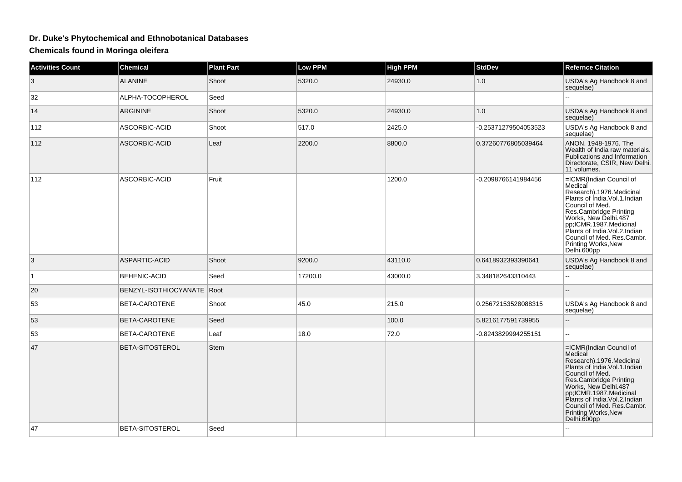## **Dr. Duke's Phytochemical and Ethnobotanical Databases**

**Chemicals found in Moringa oleifera**

| <b>Activities Count</b> | <b>Chemical</b>              | <b>Plant Part</b> | <b>Low PPM</b> | <b>High PPM</b> | <b>StdDev</b>        | <b>Refernce Citation</b>                                                                                                                                                                                                                                                                                   |
|-------------------------|------------------------------|-------------------|----------------|-----------------|----------------------|------------------------------------------------------------------------------------------------------------------------------------------------------------------------------------------------------------------------------------------------------------------------------------------------------------|
| 3                       | <b>ALANINE</b>               | Shoot             | 5320.0         | 24930.0         | 1.0                  | USDA's Ag Handbook 8 and<br>sequelae)                                                                                                                                                                                                                                                                      |
| 32                      | ALPHA-TOCOPHEROL             | Seed              |                |                 |                      | ш.                                                                                                                                                                                                                                                                                                         |
| 14                      | <b>ARGININE</b>              | Shoot             | 5320.0         | 24930.0         | 1.0                  | USDA's Ag Handbook 8 and<br>sequelae)                                                                                                                                                                                                                                                                      |
| 112                     | ASCORBIC-ACID                | Shoot             | 517.0          | 2425.0          | -0.25371279504053523 | USDA's Ag Handbook 8 and<br>sequelae)                                                                                                                                                                                                                                                                      |
| 112                     | ASCORBIC-ACID                | Leaf              | 2200.0         | 8800.0          | 0.37260776805039464  | ANON. 1948-1976. The<br>Wealth of India raw materials.<br>Publications and Information<br>Directorate, CSIR, New Delhi.<br>11 volumes.                                                                                                                                                                     |
| 112                     | ASCORBIC-ACID                | Fruit             |                | 1200.0          | -0.2098766141984456  | =ICMR(Indian Council of<br>Medical<br>Research).1976.Medicinal<br>Plants of India.Vol.1.Indian<br>Council of Med.<br>Res.Cambridge Printing<br>Works, New Delhi.487<br>pp;ICMR.1987.Medicinal<br>Plants of India. Vol.2. Indian<br>Council of Med. Res.Cambr.<br>Printing Works, New<br>Delhi.600pp        |
| 3                       | <b>ASPARTIC-ACID</b>         | Shoot             | 9200.0         | 43110.0         | 0.6418932393390641   | USDA's Ag Handbook 8 and<br>sequelae)                                                                                                                                                                                                                                                                      |
| $\mathbf{1}$            | <b>BEHENIC-ACID</b>          | Seed              | 17200.0        | 43000.0         | 3.348182643310443    | ш.                                                                                                                                                                                                                                                                                                         |
| 20                      | BENZYL-ISOTHIOCYANATE   Root |                   |                |                 |                      |                                                                                                                                                                                                                                                                                                            |
| 53                      | BETA-CAROTENE                | Shoot             | 45.0           | 215.0           | 0.25672153528088315  | USDA's Ag Handbook 8 and<br>sequelae)                                                                                                                                                                                                                                                                      |
| 53                      | BETA-CAROTENE                | Seed              |                | 100.0           | 5.8216177591739955   | --                                                                                                                                                                                                                                                                                                         |
| 53                      | BETA-CAROTENE                | Leaf              | 18.0           | 72.0            | -0.8243829994255151  | $\sim$                                                                                                                                                                                                                                                                                                     |
| 47                      | BETA-SITOSTEROL              | Stem              |                |                 |                      | =ICMR(Indian Council of<br>Medical<br>Research).1976.Medicinal<br>Plants of India.Vol.1.Indian<br>Council of Med.<br>Res.Cambridge Printing<br>Works, New Delhi.487<br>pp;ICMR.1987.Medicinal<br>Plants of India. Vol.2. Indian<br>Council of Med. Res.Cambr.<br><b>Printing Works, New</b><br>Delhi.600pp |
| 47                      | BETA-SITOSTEROL              | Seed              |                |                 |                      | L.                                                                                                                                                                                                                                                                                                         |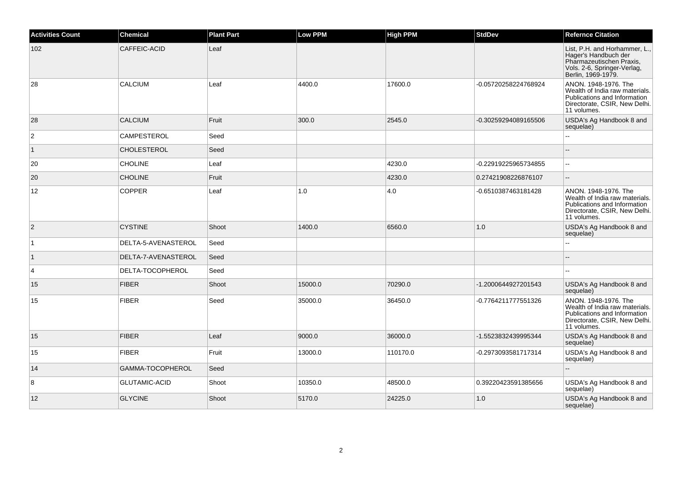| <b>Activities Count</b> | <b>Chemical</b>      | <b>Plant Part</b> | <b>Low PPM</b> | <b>High PPM</b> | <b>StdDev</b>        | <b>Refernce Citation</b>                                                                                                               |
|-------------------------|----------------------|-------------------|----------------|-----------------|----------------------|----------------------------------------------------------------------------------------------------------------------------------------|
| 102                     | CAFFEIC-ACID         | Leaf              |                |                 |                      | List, P.H. and Horhammer, L.,<br>Hager's Handbuch der<br>Pharmazeutischen Praxis,<br>Vols. 2-6, Springer-Verlag,<br>Berlin, 1969-1979. |
| 28                      | <b>CALCIUM</b>       | Leaf              | 4400.0         | 17600.0         | -0.05720258224768924 | ANON. 1948-1976. The<br>Wealth of India raw materials.<br>Publications and Information<br>Directorate, CSIR, New Delhi.<br>11 volumes. |
| 28                      | <b>CALCIUM</b>       | Fruit             | 300.0          | 2545.0          | -0.30259294089165506 | USDA's Ag Handbook 8 and<br>sequelae)                                                                                                  |
| $\overline{2}$          | CAMPESTEROL          | Seed              |                |                 |                      | $\sim$                                                                                                                                 |
| $\vert$ 1               | <b>CHOLESTEROL</b>   | Seed              |                |                 |                      |                                                                                                                                        |
| 20                      | <b>CHOLINE</b>       | Leaf              |                | 4230.0          | -0.22919225965734855 | $\sim$ $\sim$                                                                                                                          |
| 20                      | <b>CHOLINE</b>       | Fruit             |                | 4230.0          | 0.27421908226876107  | $\overline{\phantom{a}}$                                                                                                               |
| 12                      | <b>COPPER</b>        | Leaf              | 1.0            | 4.0             | -0.6510387463181428  | ANON. 1948-1976. The<br>Wealth of India raw materials.<br>Publications and Information<br>Directorate, CSIR, New Delhi.<br>11 volumes. |
| $\overline{2}$          | <b>CYSTINE</b>       | Shoot             | 1400.0         | 6560.0          | 1.0                  | USDA's Ag Handbook 8 and<br>sequelae)                                                                                                  |
| $\vert$ 1               | DELTA-5-AVENASTEROL  | Seed              |                |                 |                      | $\sim$ $\sim$                                                                                                                          |
| $\vert$ 1               | DELTA-7-AVENASTEROL  | Seed              |                |                 |                      |                                                                                                                                        |
| 4                       | DELTA-TOCOPHEROL     | Seed              |                |                 |                      |                                                                                                                                        |
| 15                      | <b>FIBER</b>         | Shoot             | 15000.0        | 70290.0         | -1.2000644927201543  | USDA's Ag Handbook 8 and<br>sequelae)                                                                                                  |
| 15                      | <b>FIBER</b>         | Seed              | 35000.0        | 36450.0         | -0.7764211777551326  | ANON. 1948-1976. The<br>Wealth of India raw materials.<br>Publications and Information<br>Directorate, CSIR, New Delhi.<br>11 volumes. |
| 15                      | <b>FIBER</b>         | Leaf              | 9000.0         | 36000.0         | -1.5523832439995344  | USDA's Ag Handbook 8 and<br>sequelae)                                                                                                  |
| 15                      | <b>FIBER</b>         | Fruit             | 13000.0        | 110170.0        | -0.2973093581717314  | USDA's Ag Handbook 8 and<br>sequelae)                                                                                                  |
| 14                      | GAMMA-TOCOPHEROL     | Seed              |                |                 |                      |                                                                                                                                        |
| 8                       | <b>GLUTAMIC-ACID</b> | Shoot             | 10350.0        | 48500.0         | 0.39220423591385656  | USDA's Ag Handbook 8 and<br>sequelae)                                                                                                  |
| 12                      | <b>GLYCINE</b>       | Shoot             | 5170.0         | 24225.0         | 1.0                  | USDA's Ag Handbook 8 and<br>sequelae)                                                                                                  |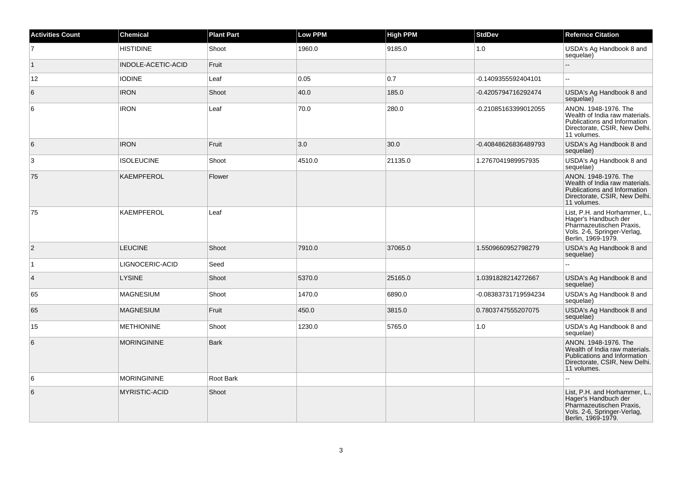| <b>Activities Count</b> | <b>Chemical</b>      | <b>Plant Part</b> | <b>Low PPM</b> | <b>High PPM</b> | <b>StdDev</b>        | <b>Refernce Citation</b>                                                                                                               |
|-------------------------|----------------------|-------------------|----------------|-----------------|----------------------|----------------------------------------------------------------------------------------------------------------------------------------|
| $\overline{7}$          | <b>HISTIDINE</b>     | Shoot             | 1960.0         | 9185.0          | 1.0                  | USDA's Ag Handbook 8 and<br>sequelae)                                                                                                  |
| $\vert$ 1               | INDOLE-ACETIC-ACID   | Fruit             |                |                 |                      | Ξ.                                                                                                                                     |
| 12                      | <b>IODINE</b>        | Leaf              | 0.05           | 0.7             | -0.1409355592404101  |                                                                                                                                        |
| 6                       | <b>IRON</b>          | Shoot             | 40.0           | 185.0           | -0.4205794716292474  | USDA's Ag Handbook 8 and<br>sequelae)                                                                                                  |
| 6                       | <b>IRON</b>          | Leaf              | 70.0           | 280.0           | -0.21085163399012055 | ANON. 1948-1976. The<br>Wealth of India raw materials.<br>Publications and Information<br>Directorate, CSIR, New Delhi.<br>11 volumes. |
| 6                       | <b>IRON</b>          | Fruit             | 3.0            | 30.0            | -0.40848626836489793 | USDA's Ag Handbook 8 and<br>sequelae)                                                                                                  |
| 3                       | <b>ISOLEUCINE</b>    | Shoot             | 4510.0         | 21135.0         | 1.2767041989957935   | USDA's Ag Handbook 8 and<br>sequelae)                                                                                                  |
| 75                      | KAEMPFEROL           | Flower            |                |                 |                      | ANON. 1948-1976. The<br>Wealth of India raw materials.<br>Publications and Information<br>Directorate, CSIR, New Delhi.<br>11 volumes. |
| 75                      | <b>KAEMPFEROL</b>    | Leaf              |                |                 |                      | List, P.H. and Horhammer, L.,<br>Hager's Handbuch der<br>Pharmazeutischen Praxis,<br>Vols. 2-6, Springer-Verlag,<br>Berlin, 1969-1979. |
| $\overline{2}$          | <b>LEUCINE</b>       | Shoot             | 7910.0         | 37065.0         | 1.5509660952798279   | USDA's Ag Handbook 8 and<br>sequelae)                                                                                                  |
| $\vert$ 1               | LIGNOCERIC-ACID      | Seed              |                |                 |                      |                                                                                                                                        |
| $\overline{4}$          | <b>LYSINE</b>        | Shoot             | 5370.0         | 25165.0         | 1.0391828214272667   | USDA's Ag Handbook 8 and<br>sequelae)                                                                                                  |
| 65                      | <b>MAGNESIUM</b>     | Shoot             | 1470.0         | 6890.0          | -0.08383731719594234 | USDA's Ag Handbook 8 and<br>sequelae)                                                                                                  |
| 65                      | <b>MAGNESIUM</b>     | Fruit             | 450.0          | 3815.0          | 0.7803747555207075   | USDA's Ag Handbook 8 and<br>sequelae)                                                                                                  |
| 15                      | <b>METHIONINE</b>    | Shoot             | 1230.0         | 5765.0          | $1.0$                | USDA's Ag Handbook 8 and<br>sequelae)                                                                                                  |
| 6                       | <b>MORINGININE</b>   | <b>Bark</b>       |                |                 |                      | ANON. 1948-1976. The<br>Wealth of India raw materials.<br>Publications and Information<br>Directorate, CSIR, New Delhi.<br>11 volumes. |
| 6                       | <b>MORINGININE</b>   | Root Bark         |                |                 |                      |                                                                                                                                        |
| 6                       | <b>MYRISTIC-ACID</b> | Shoot             |                |                 |                      | List, P.H. and Horhammer, L.,<br>Hager's Handbuch der<br>Pharmazeutischen Praxis,<br>Vols. 2-6, Springer-Verlag,<br>Berlin, 1969-1979. |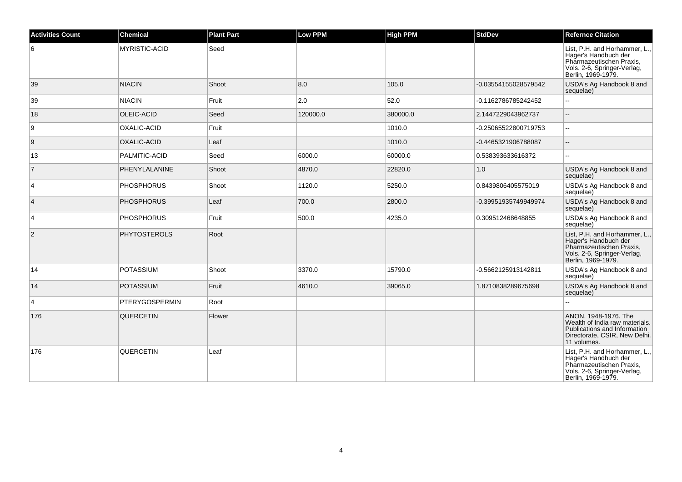| <b>Activities Count</b> | <b>Chemical</b>       | <b>Plant Part</b> | <b>Low PPM</b> | <b>High PPM</b> | <b>StdDev</b>        | <b>Refernce Citation</b>                                                                                                               |
|-------------------------|-----------------------|-------------------|----------------|-----------------|----------------------|----------------------------------------------------------------------------------------------------------------------------------------|
| 6                       | <b>MYRISTIC-ACID</b>  | Seed              |                |                 |                      | List, P.H. and Horhammer, L.,<br>Hager's Handbuch der<br>Pharmazeutischen Praxis,<br>Vols. 2-6, Springer-Verlag,<br>Berlin, 1969-1979. |
| 39                      | <b>NIACIN</b>         | Shoot             | 8.0            | 105.0           | -0.03554155028579542 | USDA's Ag Handbook 8 and<br>sequelae)                                                                                                  |
| 39                      | <b>NIACIN</b>         | Fruit             | 2.0            | 52.0            | -0.1162786785242452  |                                                                                                                                        |
| 18                      | OLEIC-ACID            | Seed              | 120000.0       | 380000.0        | 2.1447229043962737   | $\overline{\phantom{a}}$                                                                                                               |
| 9                       | <b>OXALIC-ACID</b>    | Fruit             |                | 1010.0          | -0.25065522800719753 | $\overline{\phantom{a}}$                                                                                                               |
| 9                       | <b>OXALIC-ACID</b>    | Leaf              |                | 1010.0          | -0.4465321906788087  | $\sim$                                                                                                                                 |
| 13                      | PALMITIC-ACID         | Seed              | 6000.0         | 60000.0         | 0.538393633616372    |                                                                                                                                        |
| $\overline{7}$          | PHENYLALANINE         | Shoot             | 4870.0         | 22820.0         | 1.0                  | USDA's Ag Handbook 8 and<br>sequelae)                                                                                                  |
| 4                       | <b>PHOSPHORUS</b>     | Shoot             | 1120.0         | 5250.0          | 0.8439806405575019   | USDA's Ag Handbook 8 and<br>sequelae)                                                                                                  |
| $\overline{4}$          | <b>PHOSPHORUS</b>     | Leaf              | 700.0          | 2800.0          | -0.39951935749949974 | USDA's Ag Handbook 8 and<br>sequelae)                                                                                                  |
| $\overline{4}$          | <b>PHOSPHORUS</b>     | Fruit             | 500.0          | 4235.0          | 0.309512468648855    | USDA's Ag Handbook 8 and<br>sequelae)                                                                                                  |
| 2                       | <b>PHYTOSTEROLS</b>   | Root              |                |                 |                      | List, P.H. and Horhammer, L.,<br>Hager's Handbuch der<br>Pharmazeutischen Praxis,<br>Vols. 2-6, Springer-Verlag,<br>Berlin, 1969-1979. |
| 14                      | POTASSIUM             | Shoot             | 3370.0         | 15790.0         | -0.5662125913142811  | USDA's Ag Handbook 8 and<br>sequelae)                                                                                                  |
| 14                      | <b>POTASSIUM</b>      | Fruit             | 4610.0         | 39065.0         | 1.8710838289675698   | USDA's Ag Handbook 8 and<br>sequelae)                                                                                                  |
| 4                       | <b>PTERYGOSPERMIN</b> | Root              |                |                 |                      |                                                                                                                                        |
| 176                     | <b>QUERCETIN</b>      | Flower            |                |                 |                      | ANON. 1948-1976. The<br>Wealth of India raw materials.<br>Publications and Information<br>Directorate, CSIR, New Delhi.<br>11 volumes. |
| 176                     | <b>QUERCETIN</b>      | Leaf              |                |                 |                      | List, P.H. and Horhammer, L.,<br>Hager's Handbuch der<br>Pharmazeutischen Praxis,<br>Vols. 2-6, Springer-Verlag,<br>Berlin, 1969-1979. |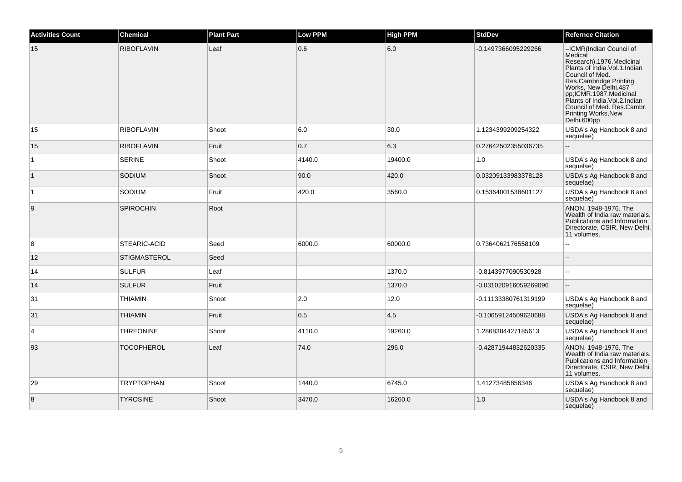| <b>Activities Count</b> | <b>Chemical</b>     | <b>Plant Part</b> | <b>Low PPM</b> | <b>High PPM</b> | <b>StdDev</b>         | <b>Refernce Citation</b>                                                                                                                                                                                                                                                                                               |
|-------------------------|---------------------|-------------------|----------------|-----------------|-----------------------|------------------------------------------------------------------------------------------------------------------------------------------------------------------------------------------------------------------------------------------------------------------------------------------------------------------------|
| 15                      | <b>RIBOFLAVIN</b>   | Leaf              | 0.6            | 6.0             | -0.1497366095229266   | =ICMR(Indian Council of<br>Medical<br>Research).1976.Medicinal<br>Plants of India.Vol.1.Indian<br>Council of Med.<br>Countin In Wiedle<br>Res.Cambridge Printing<br>Works, New Delhi.487<br>pp;ICMR.1987.Medicinal<br>Plants of India.Vol.2.Indian<br>Council of Med. Res.Cambr.<br>Printing Works, New<br>Delhi.600pp |
| 15                      | <b>RIBOFLAVIN</b>   | Shoot             | 6.0            | 30.0            | 1.1234399209254322    | USDA's Ag Handbook 8 and<br>sequelae)                                                                                                                                                                                                                                                                                  |
| 15                      | <b>RIBOFLAVIN</b>   | Fruit             | 0.7            | 6.3             | 0.27642502355036735   |                                                                                                                                                                                                                                                                                                                        |
| $\mathbf{1}$            | <b>SERINE</b>       | Shoot             | 4140.0         | 19400.0         | 1.0                   | USDA's Ag Handbook 8 and<br>sequelae)                                                                                                                                                                                                                                                                                  |
| $\vert$ 1               | <b>SODIUM</b>       | Shoot             | 90.0           | 420.0           | 0.03209133983378128   | USDA's Ag Handbook 8 and<br>sequelae)                                                                                                                                                                                                                                                                                  |
| $\overline{1}$          | SODIUM              | Fruit             | 420.0          | 3560.0          | 0.15364001538601127   | USDA's Ag Handbook 8 and<br>sequelae)                                                                                                                                                                                                                                                                                  |
| 9                       | SPIROCHIN           | Root              |                |                 |                       | ANON. 1948-1976. The<br>Wealth of India raw materials.<br>Publications and Information<br>Directorate, CSIR, New Delhi.<br>11 volumes.                                                                                                                                                                                 |
| 8                       | STEARIC-ACID        | Seed              | 6000.0         | 60000.0         | 0.7364062176558109    | $\overline{a}$                                                                                                                                                                                                                                                                                                         |
| 12                      | <b>STIGMASTEROL</b> | Seed              |                |                 |                       |                                                                                                                                                                                                                                                                                                                        |
| 14                      | <b>SULFUR</b>       | Leaf              |                | 1370.0          | -0.8143977090530928   |                                                                                                                                                                                                                                                                                                                        |
| 14                      | <b>SULFUR</b>       | Fruit             |                | 1370.0          | -0.031020916059269096 | ш.                                                                                                                                                                                                                                                                                                                     |
| 31                      | <b>THIAMIN</b>      | Shoot             | 2.0            | 12.0            | -0.11133380761319199  | USDA's Ag Handbook 8 and<br>sequelae)                                                                                                                                                                                                                                                                                  |
| 31                      | <b>THIAMIN</b>      | Fruit             | 0.5            | 4.5             | -0.10659124509620688  | USDA's Ag Handbook 8 and<br>sequelae)                                                                                                                                                                                                                                                                                  |
| 4                       | <b>THREONINE</b>    | Shoot             | 4110.0         | 19260.0         | 1.2868384427185613    | USDA's Ag Handbook 8 and<br>sequelae)                                                                                                                                                                                                                                                                                  |
| 93                      | <b>TOCOPHEROL</b>   | Leaf              | 74.0           | 296.0           | -0.42871944832620335  | ANON. 1948-1976. The<br>Wealth of India raw materials.<br>Publications and Information<br>Directorate, CSIR, New Delhi.<br>11 volumes.                                                                                                                                                                                 |
| 29                      | <b>TRYPTOPHAN</b>   | Shoot             | 1440.0         | 6745.0          | 1.41273485856346      | USDA's Ag Handbook 8 and<br>sequelae)                                                                                                                                                                                                                                                                                  |
| 8                       | <b>TYROSINE</b>     | Shoot             | 3470.0         | 16260.0         | 1.0                   | USDA's Ag Handbook 8 and<br>sequelae)                                                                                                                                                                                                                                                                                  |